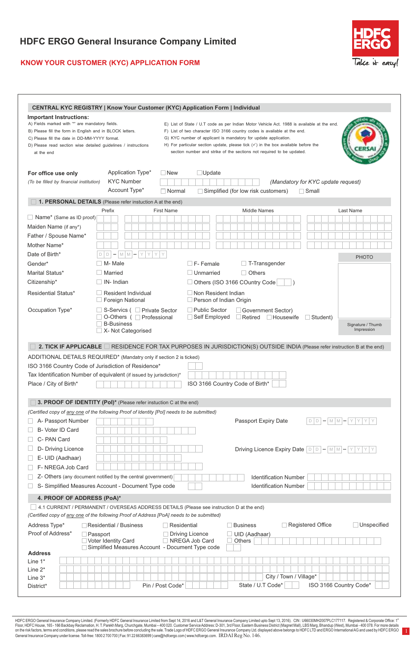## **KNOW YOUR CUSTOMER (KYC) APPLICATION FORM**



1

|                                                          | <b>CENTRAL KYC REGISTRY   Know Your Customer (KYC) Application Form   Individual</b>       |                                                              |                                                                                                                                                                 |                                        |
|----------------------------------------------------------|--------------------------------------------------------------------------------------------|--------------------------------------------------------------|-----------------------------------------------------------------------------------------------------------------------------------------------------------------|----------------------------------------|
| Important Instructions:                                  |                                                                                            |                                                              |                                                                                                                                                                 |                                        |
| A) Fields marked with "" are mandatory fields.           |                                                                                            |                                                              | E) List of State / U.T code as per Indian Motor Vehicle Act. 1988 is available at the end.                                                                      |                                        |
| B) Please fill the form in English and in BLOCK letters. |                                                                                            |                                                              | F) List of two character ISO 3166 country codes is available at the end.                                                                                        |                                        |
| C) Please fill the date in DD-MM-YYYY format.            | D) Please read section wise detailed guidelines / instructions                             |                                                              | G) KYC number of applicant is mandatory for update application.<br>H) For particular section update, please tick $(\checkmark)$ in the box available before the |                                        |
| at the end                                               |                                                                                            |                                                              | section number and strike of the sections not required to be updated.                                                                                           |                                        |
|                                                          |                                                                                            |                                                              |                                                                                                                                                                 |                                        |
|                                                          | Application Type*                                                                          |                                                              |                                                                                                                                                                 |                                        |
| For office use only                                      | <b>KYC Number</b>                                                                          | $\Box$ Update<br>$\Box$ New                                  |                                                                                                                                                                 |                                        |
| (To be filled by financial institution)                  |                                                                                            |                                                              | (Mandatory for KYC update request)                                                                                                                              |                                        |
|                                                          | Account Type*                                                                              | $\Box$ Normal                                                | $\Box$ Simplified (for low risk customers)<br>$\Box$ Small                                                                                                      |                                        |
|                                                          | 1. PERSONAL DETAILS (Please refer instuction A at the end)                                 |                                                              |                                                                                                                                                                 |                                        |
| $\Box$ Name* (Same as ID proof)                          | Prefix                                                                                     | <b>First Name</b>                                            | <b>Middle Names</b>                                                                                                                                             | Last Name                              |
|                                                          |                                                                                            |                                                              |                                                                                                                                                                 |                                        |
| Maiden Name (if any*)                                    |                                                                                            |                                                              |                                                                                                                                                                 |                                        |
| Father / Spouse Name*                                    |                                                                                            |                                                              |                                                                                                                                                                 |                                        |
| Mother Name*                                             |                                                                                            |                                                              |                                                                                                                                                                 |                                        |
| Date of Birth*                                           | $D   D   -   M   M   -   Y   Y   Y  $                                                      | Y                                                            |                                                                                                                                                                 | <b>PHOTO</b>                           |
| Gender*                                                  | $\Box$ M- Male                                                                             | $\Box$ F- Female                                             | $\Box$ T-Transgender                                                                                                                                            |                                        |
| Marital Status*                                          | $\Box$ Married                                                                             | $\Box$ Unmarried                                             | $\Box$ Others                                                                                                                                                   |                                        |
| Citizenship*                                             | $\Box$ IN-Indian                                                                           |                                                              | $\Box$ Others (ISO 3166 COuntry Code                                                                                                                            |                                        |
| <b>Residential Status*</b>                               | $\Box$ Resident Individual<br>$\Box$ Foreign National                                      | $\Box$ Non Resident Indian<br>$\Box$ Person of Indian Origin |                                                                                                                                                                 |                                        |
| Occupation Type*                                         | □ S-Servics ( □ Private Sector                                                             | $\Box$ Public Sector                                         | Government Sector)                                                                                                                                              |                                        |
|                                                          | □ O-Others ( □ Professional                                                                | $\Box$ Self Employed                                         | $\Box$ Retired $\Box$ Housewife<br>$\Box$ Student)                                                                                                              |                                        |
|                                                          | $\Box$ B-Business<br>$\Box$ X- Not Categorised                                             |                                                              |                                                                                                                                                                 | Signature / Thumb<br>Impression        |
|                                                          |                                                                                            |                                                              |                                                                                                                                                                 |                                        |
|                                                          |                                                                                            |                                                              | 2. TICK IF APPLICABLE RESIDENCE FOR TAX PURPOSES IN JURISDICTION(S) OUTSIDE INDIA (Please refer instruction B at the end)                                       |                                        |
|                                                          | ADDITIONAL DETAILS REQUIRED* (Mandatry only if section 2 is ticked)                        |                                                              |                                                                                                                                                                 |                                        |
|                                                          | ISO 3166 Country Code of Jurisdiction of Residence*                                        |                                                              |                                                                                                                                                                 |                                        |
|                                                          | Tax Identification Number of equivalent (if issued by jurisdiction)*                       |                                                              |                                                                                                                                                                 |                                        |
| Place / City of Birth*                                   |                                                                                            |                                                              | ISO 3166 Country Code of Birth*                                                                                                                                 |                                        |
|                                                          |                                                                                            |                                                              |                                                                                                                                                                 |                                        |
|                                                          | 3. PROOF OF IDENTITY (Pol)* (Please refer instuction C at the end)                         |                                                              |                                                                                                                                                                 |                                        |
|                                                          | (Certified copy of any one of the following Proof of Identity [Pol] needs to be submitted) |                                                              |                                                                                                                                                                 |                                        |
| A- Passport Number                                       |                                                                                            |                                                              | Passport Expiry Date                                                                                                                                            | $D   D   -   M   M   -   Y   Y  $<br>Y |
| B- Voter ID Card                                         |                                                                                            |                                                              |                                                                                                                                                                 |                                        |
| C- PAN Card                                              |                                                                                            |                                                              |                                                                                                                                                                 |                                        |
| D- Driving Licence                                       |                                                                                            |                                                              |                                                                                                                                                                 |                                        |
| E- UID (Aadhaar)                                         |                                                                                            |                                                              | Driving Licence Expiry Date $\boxed{D   D} -  M   M  -  Y   Y   Y$                                                                                              |                                        |
|                                                          |                                                                                            |                                                              |                                                                                                                                                                 |                                        |
| F-NREGA Job Card                                         |                                                                                            |                                                              |                                                                                                                                                                 |                                        |
|                                                          | Z- Others (any document notified by the central government)                                |                                                              | <b>Identification Number</b>                                                                                                                                    |                                        |
|                                                          | S- Simplified Measures Account - Document Type code                                        |                                                              | <b>Identification Number</b>                                                                                                                                    |                                        |
| 4. PROOF OF ADDRESS (PoA)*                               |                                                                                            |                                                              |                                                                                                                                                                 |                                        |
|                                                          | 4.1 CURRENT / PERMANENT / OVERSEAS ADDRESS DETAILS (Please see instruction D at the end)   |                                                              |                                                                                                                                                                 |                                        |
|                                                          | (Certified copy of any one of the following Proof of Address [PoA] needs to be submitted)  |                                                              |                                                                                                                                                                 |                                        |
| Address Type*                                            | Residential / Business                                                                     | <b>□ Residential</b>                                         | <b>Registered Office</b><br>$\Box$ Business                                                                                                                     | $\Box$ Unspecified                     |
| Proof of Address*                                        | Passport                                                                                   | <b>Driving Licence</b>                                       | UID (Aadhaar)                                                                                                                                                   |                                        |
|                                                          | Voter Identity Card<br>Simplified Measures Account - Document Type code                    | NREGA Job Card                                               | Others                                                                                                                                                          |                                        |
| <b>Address</b>                                           |                                                                                            |                                                              |                                                                                                                                                                 |                                        |
| Line 1*                                                  |                                                                                            |                                                              |                                                                                                                                                                 |                                        |
| Line $2^*$                                               |                                                                                            |                                                              |                                                                                                                                                                 |                                        |
| Line $3^*$                                               |                                                                                            |                                                              | City / Town / Village*                                                                                                                                          |                                        |
| District*                                                |                                                                                            | Pin / Post Code*                                             | State / U.T Code*                                                                                                                                               | ISO 3166 Country Code*                 |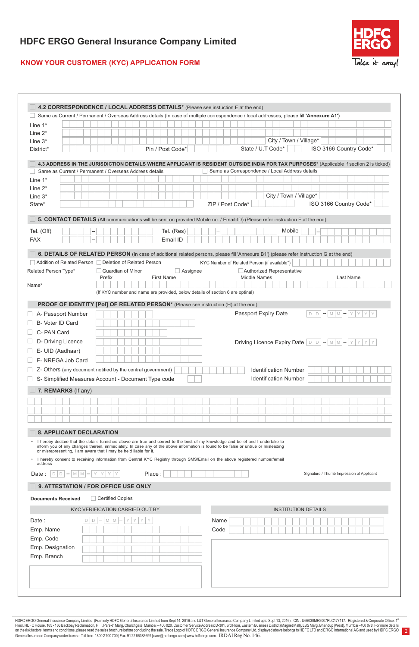

2

### **KNOW YOUR CUSTOMER (KYC) APPLICATION FORM**

| Line $1^*$                                                       |                                                                                                                                                                                                                                                                         | Same as Current / Permanent / Overseas Address details (In case of multiple correspondence / local addresses, please fill 'Annexure A1')                                                                                                                 |
|------------------------------------------------------------------|-------------------------------------------------------------------------------------------------------------------------------------------------------------------------------------------------------------------------------------------------------------------------|----------------------------------------------------------------------------------------------------------------------------------------------------------------------------------------------------------------------------------------------------------|
|                                                                  |                                                                                                                                                                                                                                                                         |                                                                                                                                                                                                                                                          |
|                                                                  |                                                                                                                                                                                                                                                                         |                                                                                                                                                                                                                                                          |
| Line $2^*$                                                       |                                                                                                                                                                                                                                                                         |                                                                                                                                                                                                                                                          |
| Line $3*$                                                        |                                                                                                                                                                                                                                                                         | City / Town / Village*                                                                                                                                                                                                                                   |
| District*                                                        | Pin / Post Code*                                                                                                                                                                                                                                                        | ISO 3166 Country Code*<br>State / U.T Code*                                                                                                                                                                                                              |
|                                                                  | Same as Current / Permanent / Overseas Address details                                                                                                                                                                                                                  | 4.3 ADDRESS IN THE JURISDICTION DETAILS WHERE APPLICANT IS RESIDENT OUTSIDE INDIA FOR TAX PURPOSES* (Applicable if section 2 is ticked)<br>Same as Correspondence / Local Address details                                                                |
| Line $1^*$                                                       |                                                                                                                                                                                                                                                                         |                                                                                                                                                                                                                                                          |
| Line $2^*$                                                       |                                                                                                                                                                                                                                                                         |                                                                                                                                                                                                                                                          |
| Line $3^*$                                                       |                                                                                                                                                                                                                                                                         | City / Town / Village*                                                                                                                                                                                                                                   |
| State*                                                           |                                                                                                                                                                                                                                                                         | ISO 3166 Country Code*<br>ZIP / Post Code*                                                                                                                                                                                                               |
|                                                                  |                                                                                                                                                                                                                                                                         | 5. CONTACT DETAILS (All communications will be sent on provided Mobile no. / Email-ID) (Please refer instruction F at the end)                                                                                                                           |
| Tel. (Off)                                                       | Tel. (Res)                                                                                                                                                                                                                                                              | Mobile                                                                                                                                                                                                                                                   |
| <b>FAX</b>                                                       | Email ID                                                                                                                                                                                                                                                                |                                                                                                                                                                                                                                                          |
| Related Person Type*<br>Name*                                    | Addition of Related Person   Deletion of Related Person<br>$\Box$ Assignee<br>□ Guardian of Minor<br><b>First Name</b><br>Prefix                                                                                                                                        | 6. DETAILS OF RELATED PERSON (In case of additional related persons, please fill 'Annexure B1') (please refer instruction G at the end)<br>KYC Number of Related Person (if available*)<br>Authorized Representative<br><b>Middle Names</b><br>Last Name |
|                                                                  | (If KYC number and name are provided, below details of section 6 are optinal)                                                                                                                                                                                           |                                                                                                                                                                                                                                                          |
|                                                                  | PROOF OF IDENTITY [Pol] OF RELATED PERSON* (Please see instruction (H) at the end)                                                                                                                                                                                      |                                                                                                                                                                                                                                                          |
| A- Passport Number                                               |                                                                                                                                                                                                                                                                         | Passport Expiry Date<br>$\boxed{D}$ $\boxed{D}$ $\boxed{P}$ $\boxed{M}$ $\boxed{M}$ $\boxed{Y}$ $\boxed{Y}$ $\boxed{Y}$ $\boxed{Y}$                                                                                                                      |
| B- Voter ID Card                                                 |                                                                                                                                                                                                                                                                         |                                                                                                                                                                                                                                                          |
| C- PAN Card                                                      |                                                                                                                                                                                                                                                                         |                                                                                                                                                                                                                                                          |
| D- Driving Licence                                               |                                                                                                                                                                                                                                                                         | Driving Licence Expiry Date $ D D - M M - Y Y Y Y$                                                                                                                                                                                                       |
| E- UID (Aadhaar)                                                 |                                                                                                                                                                                                                                                                         |                                                                                                                                                                                                                                                          |
|                                                                  |                                                                                                                                                                                                                                                                         |                                                                                                                                                                                                                                                          |
| F-NREGA Job Card                                                 |                                                                                                                                                                                                                                                                         |                                                                                                                                                                                                                                                          |
|                                                                  | Z- Others (any document notified by the central government)                                                                                                                                                                                                             | <b>Identification Number</b>                                                                                                                                                                                                                             |
|                                                                  | S- Simplified Measures Account - Document Type code                                                                                                                                                                                                                     | <b>Identification Number</b>                                                                                                                                                                                                                             |
| 7. REMARKS (If any)                                              |                                                                                                                                                                                                                                                                         |                                                                                                                                                                                                                                                          |
|                                                                  |                                                                                                                                                                                                                                                                         |                                                                                                                                                                                                                                                          |
| <b>8. APPLICANT DECLARATION</b>                                  |                                                                                                                                                                                                                                                                         |                                                                                                                                                                                                                                                          |
| or misrepresenting, I am aware that I may be held liable for it. | • I hereby declare that the details furnished above are true and correct to the best of my knowledge and belief and I undertake to<br>inform you of any changes therein, immediately. In case any of the above information is found to be false or untrue or misleading |                                                                                                                                                                                                                                                          |
| address                                                          | • I hereby consent to receiving information from Central KYC Registry through SMS/Email on the above registered number/email                                                                                                                                            |                                                                                                                                                                                                                                                          |
| Date: $D - M M - Y Y Y Y$                                        | Place:                                                                                                                                                                                                                                                                  | Signature / Thumb Impression of Applicant                                                                                                                                                                                                                |
| 9. ATTESTATION / FOR OFFICE USE ONLY                             |                                                                                                                                                                                                                                                                         |                                                                                                                                                                                                                                                          |
| <b>Documents Received</b>                                        | Certified Copies                                                                                                                                                                                                                                                        |                                                                                                                                                                                                                                                          |
|                                                                  | KYC VERIFICATION CARRIED OUT BY                                                                                                                                                                                                                                         | <b>INSTITUTION DETAILS</b>                                                                                                                                                                                                                               |
| Date:<br>D                                                       | M<br> M <br>Y<br>Y                                                                                                                                                                                                                                                      | Name                                                                                                                                                                                                                                                     |
| Emp. Name                                                        |                                                                                                                                                                                                                                                                         | Code                                                                                                                                                                                                                                                     |
| Emp. Code                                                        |                                                                                                                                                                                                                                                                         |                                                                                                                                                                                                                                                          |
| Emp. Designation                                                 |                                                                                                                                                                                                                                                                         |                                                                                                                                                                                                                                                          |
| Emp. Branch                                                      |                                                                                                                                                                                                                                                                         |                                                                                                                                                                                                                                                          |
|                                                                  |                                                                                                                                                                                                                                                                         |                                                                                                                                                                                                                                                          |
|                                                                  |                                                                                                                                                                                                                                                                         |                                                                                                                                                                                                                                                          |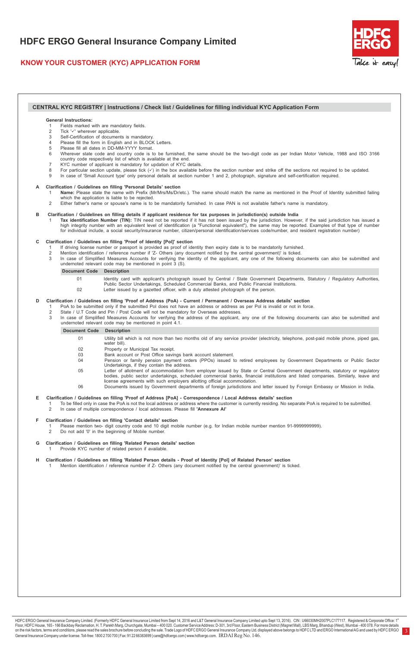### **KNOW YOUR CUSTOMER (KYC) APPLICATION FORM**



3

#### **CENTRAL KYC REGISTRY | Instructions / Check list / Guidelines for filling individual KYC Application Form**

#### **General Instructions:**

- 1 Fields marked with are mandatory fields.<br>2 Tick 'v' wherever applicable.
- Tick ' $\checkmark$ ' wherever applicable.
- 3 Self-Certification of documents is mandatory.
- Please fill the form in English and in BLOCK Letters.<br>5 Please fill all dates in DD-MM-YYYY format Please fill all dates in DD-MM-YYYY format.
- 6 Wherever state code and country code is to be furnished, the same should be the two-digit code as per Indian Motor Vehicle, 1988 and ISO 3166<br>country code respectively list of which is available at the end.<br>7 KYC number
- 
- 8 For particular section update, please tick  $(v)$  in the box available before the section number and strike off the sections not required to be updated.<br>9 In case of 'Small Account type' only personal details at section n
- In case of 'Small Account type' only personal details at section number 1 and 2, photograph, signature and self-certification required.

# **A Clarification / Guidelines on filling 'Personal Details' section**

- Name: Please state the name with Prefix (Mr/Mrs/Ms/Dr/etc.). The name should match the name as mentioned in the Proof of Identity submitted failing which the application is liable to be rejected.
- 2 Either father's name or spouse's name is to be mandatorily furnished. In case PAN is not available father's name is mandatory.

B Clarification / Guidelines on filling details if applicant residence for tax purposes in jurisdiction(s) outside India<br>1 Tax identification Number (TIN): TIN need not be reported if it has not been issued by the jurisdic high integrity number with an equivalent level of identification (a "Functional equivalent"), the same may be reported. Examples of that type of number<br>for individual include, a social security/insurance number, citizen/pe

#### **C Clarification / Guidelines on filling 'Proof of Identity [Pol]' section**

- 1 If driving license number or passport is provided as proof of identity then expiry date is to be mandatorily furnished.<br>2 Mention identification / reference number if 'Z- Others (any document notified by the central gove
- 
- 3 In case of Simplified Measures Accounts for verifying the identity of the applicant, any one of the following documents can also be submitted and undernoted relevant code may be mentioned in point 3 (S).

#### **Document Code Description**

- 01 Identity card with applicant's photograph issued by Central / State Government Departments, Statutory / Regulatory Authorities,<br>Public Sector Undertakings, Scheduled Commercial Banks, and Public Financial Institutions.
- 02 Letter issued by a gazetted officer, with a duly attested photograph of the person.

#### **D Clarification / Guidelines on filling 'Proof of Address (PoA) - Current / Permanent / Overseas Address details' section** PoA to be submitted only if the submitted Pol does not have an address or address as per Pol is invalid or not in force.

- 
- 2 State / U.T Code and Pin / Post Code will not be mandatory for Overseas addresses.<br>3 In case of Simplified Measures Accounts for verifying the address of the applicant In case of Simplified Measures Accounts for verifying the address of the applicant, any one of the following documents can also be submitted and undernoted relevant code may be mentioned in point 4.1.

#### **Document Code Description**

- 01 Utility bill which is not more than two months old of any service provider (electricity, telephone, post-paid mobile phone, piped gas, water bill).
- 02 Property or Municipal Tax receipt.
- 03 Bank account or Post Office savings bank account statement.<br>04 Pension or family pension payment orders (PPOs) issued to
- 04 Pension or family pension payment orders (PPOs) issued to retired employees by Government Departments or Public Sector Undertakings, if they contain the address.
- 05 Letter of allotment of accommodation from employer issued by State or Central Government departments, statutory or regulatory bodies, public sector undertakings, scheduled commercial banks, financial institutions and listed companies. Similarly, leave and license agreements with such employers allotting official accommodation.
- 06 Documents issued by Government departments of foreign jurisdictions and letter issued by Foreign Embassy or Mission in India.

#### **E Clarification / Guidelines on filling 'Proof of Address [PoA] - Correspondence / Local Address details' section**

To be filled only in case the PoA is not the local address or address where the customer is currently residing. No separate PoA is required to be submitted.<br>2 In case of multiple correspondence / local addresses. Please fi 2 In case of multiple correspondence / local addresses. Please fill **'Annexure Al'**

### **F Clarification / Guidelines on filling 'Contact details' section**

1 Please mention two- digit country code and 10 digit mobile number (e.g. for Indian mobile number mention 91-9999999999). 2 Do not add '0' in the beginning of Mobile number.

- 
- **G Clarification / Guidelines on filling 'Related Person details' section** Provide KYC number of related person if available
- **H Clarification / Guidelines on filling 'Related Person details Proof of Identity [Pol] of Related Person' section** 1 Mention identification / reference number if Z- Others (any document notified by the central government)' is ticked.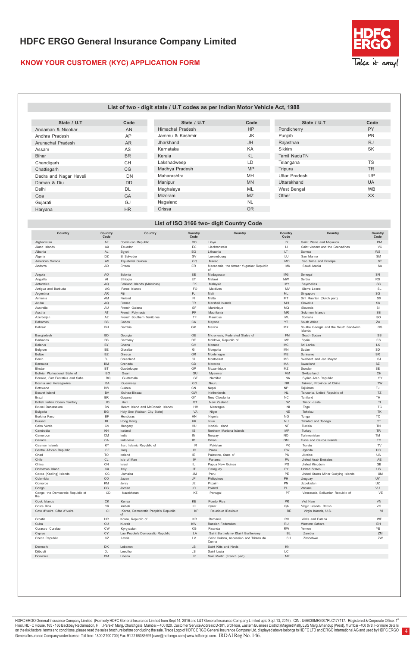### **KNOW YOUR CUSTOMER (KYC) APPLICATION FORM**



#### **List of two - digit state / U.T codes as per Indian Motor Vehicle Act, 1988**

| State / U.T            | Code      | State / U.T             | Code      | State / U.T          | Code      |
|------------------------|-----------|-------------------------|-----------|----------------------|-----------|
| Andaman & Nicobar      | AN        | <b>Himachal Pradesh</b> | <b>HP</b> | Pondicherry          | PY        |
| Andhra Pradesh         | AP        | Jammu & Kashmir         | JK        | Punjab               | PB        |
| Arunachal Pradesh      | <b>AR</b> | Jharkhand               | <b>JH</b> | Rajasthan            | <b>RJ</b> |
| Assam                  | AS        | Karnataka               | KA        | Sikkim               | <b>SK</b> |
| Bihar                  | <b>BR</b> | Kerala                  | <b>KL</b> | Tamil NaduTN         |           |
| Chandigarh             | <b>CH</b> | Lakshadweep             | LD        | Telangana            | <b>TS</b> |
| Chattisgarh            | CG        | Madhya Pradesh          | <b>MP</b> | Tripura              | <b>TR</b> |
| Dadra and Nagar Haveli | DN        | Maharashtra             | MH        | <b>Uttar Pradesh</b> | UP        |
| Daman & Diu            | <b>DD</b> | Manipur                 | <b>MN</b> | Uttarakhand          | <b>UA</b> |
| Delhi                  | <b>DL</b> | Meghalaya               | <b>ML</b> | West Bengal          | <b>WB</b> |
| Goa                    | GA        | Mizoram                 | <b>MZ</b> | Other                | XX.       |
| Gujarati               | GJ        | Nagaland                | <b>NL</b> |                      |           |
| Haryana                | <b>HR</b> | Orissa                  | <b>OR</b> |                      |           |

### **List of ISO 3166 two- digit Country Code**

| Afghanistan<br>AF<br>Dominican Republic<br>DO<br>Libya<br>LY<br>Saint Plerre and Miquelon<br>PM<br>VC<br>Aland Islands<br>AX<br>Ecuador<br>EC<br>Liechtenstein<br>$\mathsf{L}$<br>Saint vincent and the Grenadines<br>EG<br><b>WS</b><br>AL<br>Lithuania<br>LT<br>Samoa<br>Albania<br>Egypt<br>Algeria<br>DZ<br>El Salvador<br><b>SV</b><br>Luxembourg<br>LU<br>San Marino<br><b>SM</b><br>AS<br>GQ<br>MO<br><b>ST</b><br>American Samoa<br>Equatorial Guinea<br>Macao<br>Sao Tome and Principe<br><b>AD</b><br>ER<br>Eritrea<br>Macedonia, the former Yugoslav Republic<br>MK<br>Saudi Arabia<br><b>SA</b><br>Andorra<br>of<br>AO<br>EE<br><b>MG</b><br>SN<br>Angola<br>Estonia<br>Madagascar<br>Senegal<br>Anguilla<br>AI<br>ET<br>Malawi<br><b>MW</b><br><b>RS</b><br>Ethiopia<br>Serbia<br>FK<br>SC<br>AQ<br>MY<br>Falkland Islands (Malvinas)<br>Malaysia<br>Seychelles<br>Antarctica<br>Antigua and Barbuda<br>AG<br>Faroe Islands<br>FO<br>Maldives<br>MV<br>Slerra Leone<br><b>SL</b><br>FJ.<br>Argentina<br><b>AR</b><br>Mali<br>ML.<br>Singapore<br>SG<br>Fiji<br>AM<br>Finland<br>FI.<br>Malta<br><b>SX</b><br>Armenia<br>MT<br>Sint Maarten (Dutch part)<br>${\sf FR}$<br>SK<br>Aruba<br>AQ<br>France<br>Marshall Islands<br>MH<br>Slovakia<br>AU<br>French Guiana<br>GF<br><b>MQ</b><br>SI<br>Australia<br>Martinique<br>Slovenia<br>PF<br>AT<br>SB<br>French Polynesia<br><b>MR</b><br>Solomon Islands<br>Austria<br>Mauritania<br>SO<br>AZ<br>French Southern Territories<br>TF<br>Mauritius<br>MU<br>Somalia<br>Azerbaijan<br><b>BS</b><br>ZA<br>Bahamas<br>Gabon<br>GA<br>Mayotte<br><b>YT</b><br>South Africa<br><b>BH</b><br><b>GM</b><br>Southe Georgia and the South Sandwich<br>GS<br>Bahrain<br>Gambia<br>Mexico<br>MX<br>Islands<br><b>BD</b><br>GE<br>Micronesia, Federated States of<br>SS<br>Bangladesh<br>Georgia<br>FM<br>South Sudan<br><b>BB</b><br>DF<br><b>MD</b><br>ES<br>Barbados<br>Moldova, Republic of<br>Spain<br>Germany<br>LK<br>BY<br>GH<br><b>Belarus</b><br>Ghana<br>Monaco<br>MC<br>Sri Lanka<br><b>BE</b><br>GI<br>SD<br>Belgium<br>Gibraltar<br>Mongolia<br>MN<br>Sudan<br>Belize<br><b>BZ</b><br>GR<br><b>ME</b><br>SR<br>Greece<br>Montenegro<br>Suriname<br><b>BJ</b><br>GL<br>SJ<br>Benin<br>MS<br>Greenland<br>Montserrat<br>Svalbard and Jan Mayen<br><b>BM</b><br>GD<br>SZ<br>Bermuda<br>Grenada<br>Morocco<br>MA<br>Swaziland<br>Bhutan<br><b>BT</b><br>Guadeloupe<br>GP<br>Mozambique<br>MZ<br>Swedan<br><b>SE</b><br><b>BO</b><br>GU<br>CH<br>MM<br>Switzerland<br>Bolivia, Plurinational State of<br>Guam<br>Myanmar<br>Bonaire, Sint Eustatius and Saba<br><b>BQ</b><br>Guatemala<br>GT<br>Namibia<br><b>NA</b><br>Syrian Arab Republic<br>SY<br>Bosnia and Herzegovina<br><b>BA</b><br>GG<br><b>NR</b><br><b>TW</b><br>Guermsey<br>Nauru<br>Taiiwan, Province of China<br><b>BW</b><br>GN<br>TJ<br>Nepal<br>NP<br>Botswana<br>Guinea<br>Tajikistan<br>Bouvet Island<br><b>BV</b><br>Guinea-Bissau<br>GW<br>Netheriands<br>$\mathsf{NL}$<br>Tanzania, United Republic of<br>TZ<br>Brazil<br><b>BR</b><br>GY<br>New Claedonia<br><b>NC</b><br>Tahiland<br><b>TH</b><br>Guyana<br>IO<br>GT<br>NZ<br><b>TL</b><br>British Indian Ocean Territory<br>Halti<br>New Zealand<br>Timor -Leste<br>Brunei Darussalam<br><b>BN</b><br>Heard Island and McDonald Islands<br>HM<br>Nicaragua<br>N <sub>1</sub><br>Togo<br>TG<br><b>BG</b><br>TK<br>Bulgaria<br>Holy See (Vatican City State)<br>VA<br>Niger<br><b>NE</b><br>Tokelau<br>BF<br>TO<br>Honduras<br>HN<br><b>NG</b><br><b>Burkina Faso</b><br>Nigeria<br>Tonga<br>B <sub>l</sub><br>HK<br><b>NU</b><br>Trinidad and Tobago<br>TT<br>Burundi<br>Hong Kong<br>Niue<br>CV<br>HU<br><b>NF</b><br>TN<br>Cabo Verde<br>Hungary<br>Norfolk Island<br>Tunisia<br>KH<br><b>IS</b><br><b>TR</b><br>Iceland<br>Northern Mariana Islands<br><b>MP</b><br>Cambodia<br>Turkey<br>Cameroon<br><b>CM</b><br>India<br>$\sf IN$<br>Norway<br>NO.<br>Turkmenistan<br>TM<br>CA<br>$\mathsf{ID}$<br><b>TC</b><br>Canada<br>Indonesia<br>Oman<br><b>OM</b><br>Turks and Caicos islands<br>KY<br><b>IR</b><br>Pakistan<br>PK<br><b>TV</b><br>Cayman Islands<br>Iran, Islamic Republic of<br>Tuvalu<br>$\mathsf{CF}$<br>$\overline{Q}$<br>UG<br>PW<br>Central African Republic<br>Iraq<br>Palau<br>Uganda<br>TO<br>ΙE<br>Palestine, State of<br>PS<br>UA<br>Chad<br>Ireland<br>Ukraine<br>Chile<br>CL<br>Isle of Man<br><b>IM</b><br>Panama<br>PA<br>AE<br><b>United Arab Emirates</b><br>CN<br>GB<br>China<br>IL.<br>Papua New Guinea<br>PG<br>Israel<br>United Kingdom<br>US<br>Christmas Island<br>CX<br>Italy<br>IT<br>Paraguay<br>PY<br><b>United States</b><br>cc<br><b>JM</b><br>PE<br><b>UM</b><br>Peru<br>Cocos (Keeling) Islands<br>Jamaica<br>United States Minor Outlying Islands<br>CO<br>JP<br>PH<br>UY<br>Colombia<br>Japan<br>Philippines<br>Uruguay<br>KM<br>JE<br>PN<br>UZ<br>Comoros<br>Jersy<br>Pitcairn<br>Uzbekistan<br>CG<br><b>JO</b><br>Poland<br>PL.<br>VU<br>Congo<br>Jordan<br>Vanuatu<br>KZ<br>Congo, the Democratic Republic of<br>CD<br>Kazakhstan<br>PT<br>Venezuela, Bolivarian Republic of<br>Portugal<br>the<br>СK<br>KE<br>PR<br>VN<br>Cook Islands<br>Kenya<br>Puerto Rica<br>Viet Nam<br>CR<br>VG<br>Costa Rica<br>kiribati<br>KI<br>Qatar<br>QA<br>Virgin Islands, British<br>Cote d'Ivoire ICfite d'Ivoire<br>CI<br>Korea, Democratic People's Republic<br>KP<br>Reunioun IReuioun<br><b>RE</b><br>Virgin Islands, U.S.<br>$\Omega$<br><b>HR</b><br><b>KR</b><br>Romania<br><b>RO</b><br>Walls and Futana<br>WF<br>Croatia<br>Korea, Republic of<br>CU<br>KW<br>EH<br>Russian Federation<br><b>RU</b><br>Western Sahara<br>Cuba<br>Kuwait<br>Curacao ICurafao<br><b>CW</b><br>KG<br>Rwanda<br><b>RW</b><br>Yemen<br>YE<br>Kyrgyzstan<br>CY<br>Lao People's Democratic Republic<br>LA<br>Saint Barthelemy ISaint Barthelemy<br><b>BL</b><br>Zambia<br>Cyprus<br>${\sf L}{\sf V}$<br>${\tt CZ}$<br>ZW<br>Czech Republic<br>Latvia<br>Saint Helena, Ascension and Tristan da<br>SH<br>Zimbabwe<br>Cunha<br>DK<br>LB<br>KN<br>Denmark<br>Lebanon<br>Saint Kitts and Nevls<br><b>DJ</b><br>LS<br>LC<br>Djibouti<br>Lesotho<br>Saint Lucia<br><b>DM</b><br>$\ensuremath{\mathsf{LR}}$<br>MF<br>Liberia<br>Dominica<br>Sain Martin (French part) | Country | Country<br>Code | Country | Country<br>Code | Country | Country<br>Code | Country | Country<br>Code |
|--------------------------------------------------------------------------------------------------------------------------------------------------------------------------------------------------------------------------------------------------------------------------------------------------------------------------------------------------------------------------------------------------------------------------------------------------------------------------------------------------------------------------------------------------------------------------------------------------------------------------------------------------------------------------------------------------------------------------------------------------------------------------------------------------------------------------------------------------------------------------------------------------------------------------------------------------------------------------------------------------------------------------------------------------------------------------------------------------------------------------------------------------------------------------------------------------------------------------------------------------------------------------------------------------------------------------------------------------------------------------------------------------------------------------------------------------------------------------------------------------------------------------------------------------------------------------------------------------------------------------------------------------------------------------------------------------------------------------------------------------------------------------------------------------------------------------------------------------------------------------------------------------------------------------------------------------------------------------------------------------------------------------------------------------------------------------------------------------------------------------------------------------------------------------------------------------------------------------------------------------------------------------------------------------------------------------------------------------------------------------------------------------------------------------------------------------------------------------------------------------------------------------------------------------------------------------------------------------------------------------------------------------------------------------------------------------------------------------------------------------------------------------------------------------------------------------------------------------------------------------------------------------------------------------------------------------------------------------------------------------------------------------------------------------------------------------------------------------------------------------------------------------------------------------------------------------------------------------------------------------------------------------------------------------------------------------------------------------------------------------------------------------------------------------------------------------------------------------------------------------------------------------------------------------------------------------------------------------------------------------------------------------------------------------------------------------------------------------------------------------------------------------------------------------------------------------------------------------------------------------------------------------------------------------------------------------------------------------------------------------------------------------------------------------------------------------------------------------------------------------------------------------------------------------------------------------------------------------------------------------------------------------------------------------------------------------------------------------------------------------------------------------------------------------------------------------------------------------------------------------------------------------------------------------------------------------------------------------------------------------------------------------------------------------------------------------------------------------------------------------------------------------------------------------------------------------------------------------------------------------------------------------------------------------------------------------------------------------------------------------------------------------------------------------------------------------------------------------------------------------------------------------------------------------------------------------------------------------------------------------------------------------------------------------------------------------------------------------------------------------------------------------------------------------------------------------------------------------------------------------------------------------------------------------------------------------------------------------------------------------------------------------------------------------------------------------------------------------------------------------------------------------------------------------------------------------------------------------------------------------------------------------------------------------------------------------------------------------------------------------------------------------------------------------------------------------------------------------------------------------------------------------------------------------------------------------------------------------------------------------------------------|---------|-----------------|---------|-----------------|---------|-----------------|---------|-----------------|
|                                                                                                                                                                                                                                                                                                                                                                                                                                                                                                                                                                                                                                                                                                                                                                                                                                                                                                                                                                                                                                                                                                                                                                                                                                                                                                                                                                                                                                                                                                                                                                                                                                                                                                                                                                                                                                                                                                                                                                                                                                                                                                                                                                                                                                                                                                                                                                                                                                                                                                                                                                                                                                                                                                                                                                                                                                                                                                                                                                                                                                                                                                                                                                                                                                                                                                                                                                                                                                                                                                                                                                                                                                                                                                                                                                                                                                                                                                                                                                                                                                                                                                                                                                                                                                                                                                                                                                                                                                                                                                                                                                                                                                                                                                                                                                                                                                                                                                                                                                                                                                                                                                                                                                                                                                                                                                                                                                                                                                                                                                                                                                                                                                                                                                                                                                                                                                                                                                                                                                                                                                                                                                                                                                                                                                                                    |         |                 |         |                 |         |                 |         |                 |
|                                                                                                                                                                                                                                                                                                                                                                                                                                                                                                                                                                                                                                                                                                                                                                                                                                                                                                                                                                                                                                                                                                                                                                                                                                                                                                                                                                                                                                                                                                                                                                                                                                                                                                                                                                                                                                                                                                                                                                                                                                                                                                                                                                                                                                                                                                                                                                                                                                                                                                                                                                                                                                                                                                                                                                                                                                                                                                                                                                                                                                                                                                                                                                                                                                                                                                                                                                                                                                                                                                                                                                                                                                                                                                                                                                                                                                                                                                                                                                                                                                                                                                                                                                                                                                                                                                                                                                                                                                                                                                                                                                                                                                                                                                                                                                                                                                                                                                                                                                                                                                                                                                                                                                                                                                                                                                                                                                                                                                                                                                                                                                                                                                                                                                                                                                                                                                                                                                                                                                                                                                                                                                                                                                                                                                                                    |         |                 |         |                 |         |                 |         |                 |
|                                                                                                                                                                                                                                                                                                                                                                                                                                                                                                                                                                                                                                                                                                                                                                                                                                                                                                                                                                                                                                                                                                                                                                                                                                                                                                                                                                                                                                                                                                                                                                                                                                                                                                                                                                                                                                                                                                                                                                                                                                                                                                                                                                                                                                                                                                                                                                                                                                                                                                                                                                                                                                                                                                                                                                                                                                                                                                                                                                                                                                                                                                                                                                                                                                                                                                                                                                                                                                                                                                                                                                                                                                                                                                                                                                                                                                                                                                                                                                                                                                                                                                                                                                                                                                                                                                                                                                                                                                                                                                                                                                                                                                                                                                                                                                                                                                                                                                                                                                                                                                                                                                                                                                                                                                                                                                                                                                                                                                                                                                                                                                                                                                                                                                                                                                                                                                                                                                                                                                                                                                                                                                                                                                                                                                                                    |         |                 |         |                 |         |                 |         |                 |
|                                                                                                                                                                                                                                                                                                                                                                                                                                                                                                                                                                                                                                                                                                                                                                                                                                                                                                                                                                                                                                                                                                                                                                                                                                                                                                                                                                                                                                                                                                                                                                                                                                                                                                                                                                                                                                                                                                                                                                                                                                                                                                                                                                                                                                                                                                                                                                                                                                                                                                                                                                                                                                                                                                                                                                                                                                                                                                                                                                                                                                                                                                                                                                                                                                                                                                                                                                                                                                                                                                                                                                                                                                                                                                                                                                                                                                                                                                                                                                                                                                                                                                                                                                                                                                                                                                                                                                                                                                                                                                                                                                                                                                                                                                                                                                                                                                                                                                                                                                                                                                                                                                                                                                                                                                                                                                                                                                                                                                                                                                                                                                                                                                                                                                                                                                                                                                                                                                                                                                                                                                                                                                                                                                                                                                                                    |         |                 |         |                 |         |                 |         |                 |
|                                                                                                                                                                                                                                                                                                                                                                                                                                                                                                                                                                                                                                                                                                                                                                                                                                                                                                                                                                                                                                                                                                                                                                                                                                                                                                                                                                                                                                                                                                                                                                                                                                                                                                                                                                                                                                                                                                                                                                                                                                                                                                                                                                                                                                                                                                                                                                                                                                                                                                                                                                                                                                                                                                                                                                                                                                                                                                                                                                                                                                                                                                                                                                                                                                                                                                                                                                                                                                                                                                                                                                                                                                                                                                                                                                                                                                                                                                                                                                                                                                                                                                                                                                                                                                                                                                                                                                                                                                                                                                                                                                                                                                                                                                                                                                                                                                                                                                                                                                                                                                                                                                                                                                                                                                                                                                                                                                                                                                                                                                                                                                                                                                                                                                                                                                                                                                                                                                                                                                                                                                                                                                                                                                                                                                                                    |         |                 |         |                 |         |                 |         |                 |
|                                                                                                                                                                                                                                                                                                                                                                                                                                                                                                                                                                                                                                                                                                                                                                                                                                                                                                                                                                                                                                                                                                                                                                                                                                                                                                                                                                                                                                                                                                                                                                                                                                                                                                                                                                                                                                                                                                                                                                                                                                                                                                                                                                                                                                                                                                                                                                                                                                                                                                                                                                                                                                                                                                                                                                                                                                                                                                                                                                                                                                                                                                                                                                                                                                                                                                                                                                                                                                                                                                                                                                                                                                                                                                                                                                                                                                                                                                                                                                                                                                                                                                                                                                                                                                                                                                                                                                                                                                                                                                                                                                                                                                                                                                                                                                                                                                                                                                                                                                                                                                                                                                                                                                                                                                                                                                                                                                                                                                                                                                                                                                                                                                                                                                                                                                                                                                                                                                                                                                                                                                                                                                                                                                                                                                                                    |         |                 |         |                 |         |                 |         |                 |
|                                                                                                                                                                                                                                                                                                                                                                                                                                                                                                                                                                                                                                                                                                                                                                                                                                                                                                                                                                                                                                                                                                                                                                                                                                                                                                                                                                                                                                                                                                                                                                                                                                                                                                                                                                                                                                                                                                                                                                                                                                                                                                                                                                                                                                                                                                                                                                                                                                                                                                                                                                                                                                                                                                                                                                                                                                                                                                                                                                                                                                                                                                                                                                                                                                                                                                                                                                                                                                                                                                                                                                                                                                                                                                                                                                                                                                                                                                                                                                                                                                                                                                                                                                                                                                                                                                                                                                                                                                                                                                                                                                                                                                                                                                                                                                                                                                                                                                                                                                                                                                                                                                                                                                                                                                                                                                                                                                                                                                                                                                                                                                                                                                                                                                                                                                                                                                                                                                                                                                                                                                                                                                                                                                                                                                                                    |         |                 |         |                 |         |                 |         |                 |
|                                                                                                                                                                                                                                                                                                                                                                                                                                                                                                                                                                                                                                                                                                                                                                                                                                                                                                                                                                                                                                                                                                                                                                                                                                                                                                                                                                                                                                                                                                                                                                                                                                                                                                                                                                                                                                                                                                                                                                                                                                                                                                                                                                                                                                                                                                                                                                                                                                                                                                                                                                                                                                                                                                                                                                                                                                                                                                                                                                                                                                                                                                                                                                                                                                                                                                                                                                                                                                                                                                                                                                                                                                                                                                                                                                                                                                                                                                                                                                                                                                                                                                                                                                                                                                                                                                                                                                                                                                                                                                                                                                                                                                                                                                                                                                                                                                                                                                                                                                                                                                                                                                                                                                                                                                                                                                                                                                                                                                                                                                                                                                                                                                                                                                                                                                                                                                                                                                                                                                                                                                                                                                                                                                                                                                                                    |         |                 |         |                 |         |                 |         |                 |
|                                                                                                                                                                                                                                                                                                                                                                                                                                                                                                                                                                                                                                                                                                                                                                                                                                                                                                                                                                                                                                                                                                                                                                                                                                                                                                                                                                                                                                                                                                                                                                                                                                                                                                                                                                                                                                                                                                                                                                                                                                                                                                                                                                                                                                                                                                                                                                                                                                                                                                                                                                                                                                                                                                                                                                                                                                                                                                                                                                                                                                                                                                                                                                                                                                                                                                                                                                                                                                                                                                                                                                                                                                                                                                                                                                                                                                                                                                                                                                                                                                                                                                                                                                                                                                                                                                                                                                                                                                                                                                                                                                                                                                                                                                                                                                                                                                                                                                                                                                                                                                                                                                                                                                                                                                                                                                                                                                                                                                                                                                                                                                                                                                                                                                                                                                                                                                                                                                                                                                                                                                                                                                                                                                                                                                                                    |         |                 |         |                 |         |                 |         |                 |
|                                                                                                                                                                                                                                                                                                                                                                                                                                                                                                                                                                                                                                                                                                                                                                                                                                                                                                                                                                                                                                                                                                                                                                                                                                                                                                                                                                                                                                                                                                                                                                                                                                                                                                                                                                                                                                                                                                                                                                                                                                                                                                                                                                                                                                                                                                                                                                                                                                                                                                                                                                                                                                                                                                                                                                                                                                                                                                                                                                                                                                                                                                                                                                                                                                                                                                                                                                                                                                                                                                                                                                                                                                                                                                                                                                                                                                                                                                                                                                                                                                                                                                                                                                                                                                                                                                                                                                                                                                                                                                                                                                                                                                                                                                                                                                                                                                                                                                                                                                                                                                                                                                                                                                                                                                                                                                                                                                                                                                                                                                                                                                                                                                                                                                                                                                                                                                                                                                                                                                                                                                                                                                                                                                                                                                                                    |         |                 |         |                 |         |                 |         |                 |
|                                                                                                                                                                                                                                                                                                                                                                                                                                                                                                                                                                                                                                                                                                                                                                                                                                                                                                                                                                                                                                                                                                                                                                                                                                                                                                                                                                                                                                                                                                                                                                                                                                                                                                                                                                                                                                                                                                                                                                                                                                                                                                                                                                                                                                                                                                                                                                                                                                                                                                                                                                                                                                                                                                                                                                                                                                                                                                                                                                                                                                                                                                                                                                                                                                                                                                                                                                                                                                                                                                                                                                                                                                                                                                                                                                                                                                                                                                                                                                                                                                                                                                                                                                                                                                                                                                                                                                                                                                                                                                                                                                                                                                                                                                                                                                                                                                                                                                                                                                                                                                                                                                                                                                                                                                                                                                                                                                                                                                                                                                                                                                                                                                                                                                                                                                                                                                                                                                                                                                                                                                                                                                                                                                                                                                                                    |         |                 |         |                 |         |                 |         |                 |
|                                                                                                                                                                                                                                                                                                                                                                                                                                                                                                                                                                                                                                                                                                                                                                                                                                                                                                                                                                                                                                                                                                                                                                                                                                                                                                                                                                                                                                                                                                                                                                                                                                                                                                                                                                                                                                                                                                                                                                                                                                                                                                                                                                                                                                                                                                                                                                                                                                                                                                                                                                                                                                                                                                                                                                                                                                                                                                                                                                                                                                                                                                                                                                                                                                                                                                                                                                                                                                                                                                                                                                                                                                                                                                                                                                                                                                                                                                                                                                                                                                                                                                                                                                                                                                                                                                                                                                                                                                                                                                                                                                                                                                                                                                                                                                                                                                                                                                                                                                                                                                                                                                                                                                                                                                                                                                                                                                                                                                                                                                                                                                                                                                                                                                                                                                                                                                                                                                                                                                                                                                                                                                                                                                                                                                                                    |         |                 |         |                 |         |                 |         |                 |
|                                                                                                                                                                                                                                                                                                                                                                                                                                                                                                                                                                                                                                                                                                                                                                                                                                                                                                                                                                                                                                                                                                                                                                                                                                                                                                                                                                                                                                                                                                                                                                                                                                                                                                                                                                                                                                                                                                                                                                                                                                                                                                                                                                                                                                                                                                                                                                                                                                                                                                                                                                                                                                                                                                                                                                                                                                                                                                                                                                                                                                                                                                                                                                                                                                                                                                                                                                                                                                                                                                                                                                                                                                                                                                                                                                                                                                                                                                                                                                                                                                                                                                                                                                                                                                                                                                                                                                                                                                                                                                                                                                                                                                                                                                                                                                                                                                                                                                                                                                                                                                                                                                                                                                                                                                                                                                                                                                                                                                                                                                                                                                                                                                                                                                                                                                                                                                                                                                                                                                                                                                                                                                                                                                                                                                                                    |         |                 |         |                 |         |                 |         |                 |
|                                                                                                                                                                                                                                                                                                                                                                                                                                                                                                                                                                                                                                                                                                                                                                                                                                                                                                                                                                                                                                                                                                                                                                                                                                                                                                                                                                                                                                                                                                                                                                                                                                                                                                                                                                                                                                                                                                                                                                                                                                                                                                                                                                                                                                                                                                                                                                                                                                                                                                                                                                                                                                                                                                                                                                                                                                                                                                                                                                                                                                                                                                                                                                                                                                                                                                                                                                                                                                                                                                                                                                                                                                                                                                                                                                                                                                                                                                                                                                                                                                                                                                                                                                                                                                                                                                                                                                                                                                                                                                                                                                                                                                                                                                                                                                                                                                                                                                                                                                                                                                                                                                                                                                                                                                                                                                                                                                                                                                                                                                                                                                                                                                                                                                                                                                                                                                                                                                                                                                                                                                                                                                                                                                                                                                                                    |         |                 |         |                 |         |                 |         |                 |
|                                                                                                                                                                                                                                                                                                                                                                                                                                                                                                                                                                                                                                                                                                                                                                                                                                                                                                                                                                                                                                                                                                                                                                                                                                                                                                                                                                                                                                                                                                                                                                                                                                                                                                                                                                                                                                                                                                                                                                                                                                                                                                                                                                                                                                                                                                                                                                                                                                                                                                                                                                                                                                                                                                                                                                                                                                                                                                                                                                                                                                                                                                                                                                                                                                                                                                                                                                                                                                                                                                                                                                                                                                                                                                                                                                                                                                                                                                                                                                                                                                                                                                                                                                                                                                                                                                                                                                                                                                                                                                                                                                                                                                                                                                                                                                                                                                                                                                                                                                                                                                                                                                                                                                                                                                                                                                                                                                                                                                                                                                                                                                                                                                                                                                                                                                                                                                                                                                                                                                                                                                                                                                                                                                                                                                                                    |         |                 |         |                 |         |                 |         |                 |
|                                                                                                                                                                                                                                                                                                                                                                                                                                                                                                                                                                                                                                                                                                                                                                                                                                                                                                                                                                                                                                                                                                                                                                                                                                                                                                                                                                                                                                                                                                                                                                                                                                                                                                                                                                                                                                                                                                                                                                                                                                                                                                                                                                                                                                                                                                                                                                                                                                                                                                                                                                                                                                                                                                                                                                                                                                                                                                                                                                                                                                                                                                                                                                                                                                                                                                                                                                                                                                                                                                                                                                                                                                                                                                                                                                                                                                                                                                                                                                                                                                                                                                                                                                                                                                                                                                                                                                                                                                                                                                                                                                                                                                                                                                                                                                                                                                                                                                                                                                                                                                                                                                                                                                                                                                                                                                                                                                                                                                                                                                                                                                                                                                                                                                                                                                                                                                                                                                                                                                                                                                                                                                                                                                                                                                                                    |         |                 |         |                 |         |                 |         |                 |
|                                                                                                                                                                                                                                                                                                                                                                                                                                                                                                                                                                                                                                                                                                                                                                                                                                                                                                                                                                                                                                                                                                                                                                                                                                                                                                                                                                                                                                                                                                                                                                                                                                                                                                                                                                                                                                                                                                                                                                                                                                                                                                                                                                                                                                                                                                                                                                                                                                                                                                                                                                                                                                                                                                                                                                                                                                                                                                                                                                                                                                                                                                                                                                                                                                                                                                                                                                                                                                                                                                                                                                                                                                                                                                                                                                                                                                                                                                                                                                                                                                                                                                                                                                                                                                                                                                                                                                                                                                                                                                                                                                                                                                                                                                                                                                                                                                                                                                                                                                                                                                                                                                                                                                                                                                                                                                                                                                                                                                                                                                                                                                                                                                                                                                                                                                                                                                                                                                                                                                                                                                                                                                                                                                                                                                                                    |         |                 |         |                 |         |                 |         |                 |
|                                                                                                                                                                                                                                                                                                                                                                                                                                                                                                                                                                                                                                                                                                                                                                                                                                                                                                                                                                                                                                                                                                                                                                                                                                                                                                                                                                                                                                                                                                                                                                                                                                                                                                                                                                                                                                                                                                                                                                                                                                                                                                                                                                                                                                                                                                                                                                                                                                                                                                                                                                                                                                                                                                                                                                                                                                                                                                                                                                                                                                                                                                                                                                                                                                                                                                                                                                                                                                                                                                                                                                                                                                                                                                                                                                                                                                                                                                                                                                                                                                                                                                                                                                                                                                                                                                                                                                                                                                                                                                                                                                                                                                                                                                                                                                                                                                                                                                                                                                                                                                                                                                                                                                                                                                                                                                                                                                                                                                                                                                                                                                                                                                                                                                                                                                                                                                                                                                                                                                                                                                                                                                                                                                                                                                                                    |         |                 |         |                 |         |                 |         |                 |
|                                                                                                                                                                                                                                                                                                                                                                                                                                                                                                                                                                                                                                                                                                                                                                                                                                                                                                                                                                                                                                                                                                                                                                                                                                                                                                                                                                                                                                                                                                                                                                                                                                                                                                                                                                                                                                                                                                                                                                                                                                                                                                                                                                                                                                                                                                                                                                                                                                                                                                                                                                                                                                                                                                                                                                                                                                                                                                                                                                                                                                                                                                                                                                                                                                                                                                                                                                                                                                                                                                                                                                                                                                                                                                                                                                                                                                                                                                                                                                                                                                                                                                                                                                                                                                                                                                                                                                                                                                                                                                                                                                                                                                                                                                                                                                                                                                                                                                                                                                                                                                                                                                                                                                                                                                                                                                                                                                                                                                                                                                                                                                                                                                                                                                                                                                                                                                                                                                                                                                                                                                                                                                                                                                                                                                                                    |         |                 |         |                 |         |                 |         |                 |
|                                                                                                                                                                                                                                                                                                                                                                                                                                                                                                                                                                                                                                                                                                                                                                                                                                                                                                                                                                                                                                                                                                                                                                                                                                                                                                                                                                                                                                                                                                                                                                                                                                                                                                                                                                                                                                                                                                                                                                                                                                                                                                                                                                                                                                                                                                                                                                                                                                                                                                                                                                                                                                                                                                                                                                                                                                                                                                                                                                                                                                                                                                                                                                                                                                                                                                                                                                                                                                                                                                                                                                                                                                                                                                                                                                                                                                                                                                                                                                                                                                                                                                                                                                                                                                                                                                                                                                                                                                                                                                                                                                                                                                                                                                                                                                                                                                                                                                                                                                                                                                                                                                                                                                                                                                                                                                                                                                                                                                                                                                                                                                                                                                                                                                                                                                                                                                                                                                                                                                                                                                                                                                                                                                                                                                                                    |         |                 |         |                 |         |                 |         |                 |
|                                                                                                                                                                                                                                                                                                                                                                                                                                                                                                                                                                                                                                                                                                                                                                                                                                                                                                                                                                                                                                                                                                                                                                                                                                                                                                                                                                                                                                                                                                                                                                                                                                                                                                                                                                                                                                                                                                                                                                                                                                                                                                                                                                                                                                                                                                                                                                                                                                                                                                                                                                                                                                                                                                                                                                                                                                                                                                                                                                                                                                                                                                                                                                                                                                                                                                                                                                                                                                                                                                                                                                                                                                                                                                                                                                                                                                                                                                                                                                                                                                                                                                                                                                                                                                                                                                                                                                                                                                                                                                                                                                                                                                                                                                                                                                                                                                                                                                                                                                                                                                                                                                                                                                                                                                                                                                                                                                                                                                                                                                                                                                                                                                                                                                                                                                                                                                                                                                                                                                                                                                                                                                                                                                                                                                                                    |         |                 |         |                 |         |                 |         |                 |
|                                                                                                                                                                                                                                                                                                                                                                                                                                                                                                                                                                                                                                                                                                                                                                                                                                                                                                                                                                                                                                                                                                                                                                                                                                                                                                                                                                                                                                                                                                                                                                                                                                                                                                                                                                                                                                                                                                                                                                                                                                                                                                                                                                                                                                                                                                                                                                                                                                                                                                                                                                                                                                                                                                                                                                                                                                                                                                                                                                                                                                                                                                                                                                                                                                                                                                                                                                                                                                                                                                                                                                                                                                                                                                                                                                                                                                                                                                                                                                                                                                                                                                                                                                                                                                                                                                                                                                                                                                                                                                                                                                                                                                                                                                                                                                                                                                                                                                                                                                                                                                                                                                                                                                                                                                                                                                                                                                                                                                                                                                                                                                                                                                                                                                                                                                                                                                                                                                                                                                                                                                                                                                                                                                                                                                                                    |         |                 |         |                 |         |                 |         |                 |
|                                                                                                                                                                                                                                                                                                                                                                                                                                                                                                                                                                                                                                                                                                                                                                                                                                                                                                                                                                                                                                                                                                                                                                                                                                                                                                                                                                                                                                                                                                                                                                                                                                                                                                                                                                                                                                                                                                                                                                                                                                                                                                                                                                                                                                                                                                                                                                                                                                                                                                                                                                                                                                                                                                                                                                                                                                                                                                                                                                                                                                                                                                                                                                                                                                                                                                                                                                                                                                                                                                                                                                                                                                                                                                                                                                                                                                                                                                                                                                                                                                                                                                                                                                                                                                                                                                                                                                                                                                                                                                                                                                                                                                                                                                                                                                                                                                                                                                                                                                                                                                                                                                                                                                                                                                                                                                                                                                                                                                                                                                                                                                                                                                                                                                                                                                                                                                                                                                                                                                                                                                                                                                                                                                                                                                                                    |         |                 |         |                 |         |                 |         |                 |
|                                                                                                                                                                                                                                                                                                                                                                                                                                                                                                                                                                                                                                                                                                                                                                                                                                                                                                                                                                                                                                                                                                                                                                                                                                                                                                                                                                                                                                                                                                                                                                                                                                                                                                                                                                                                                                                                                                                                                                                                                                                                                                                                                                                                                                                                                                                                                                                                                                                                                                                                                                                                                                                                                                                                                                                                                                                                                                                                                                                                                                                                                                                                                                                                                                                                                                                                                                                                                                                                                                                                                                                                                                                                                                                                                                                                                                                                                                                                                                                                                                                                                                                                                                                                                                                                                                                                                                                                                                                                                                                                                                                                                                                                                                                                                                                                                                                                                                                                                                                                                                                                                                                                                                                                                                                                                                                                                                                                                                                                                                                                                                                                                                                                                                                                                                                                                                                                                                                                                                                                                                                                                                                                                                                                                                                                    |         |                 |         |                 |         |                 |         |                 |
|                                                                                                                                                                                                                                                                                                                                                                                                                                                                                                                                                                                                                                                                                                                                                                                                                                                                                                                                                                                                                                                                                                                                                                                                                                                                                                                                                                                                                                                                                                                                                                                                                                                                                                                                                                                                                                                                                                                                                                                                                                                                                                                                                                                                                                                                                                                                                                                                                                                                                                                                                                                                                                                                                                                                                                                                                                                                                                                                                                                                                                                                                                                                                                                                                                                                                                                                                                                                                                                                                                                                                                                                                                                                                                                                                                                                                                                                                                                                                                                                                                                                                                                                                                                                                                                                                                                                                                                                                                                                                                                                                                                                                                                                                                                                                                                                                                                                                                                                                                                                                                                                                                                                                                                                                                                                                                                                                                                                                                                                                                                                                                                                                                                                                                                                                                                                                                                                                                                                                                                                                                                                                                                                                                                                                                                                    |         |                 |         |                 |         |                 |         |                 |
|                                                                                                                                                                                                                                                                                                                                                                                                                                                                                                                                                                                                                                                                                                                                                                                                                                                                                                                                                                                                                                                                                                                                                                                                                                                                                                                                                                                                                                                                                                                                                                                                                                                                                                                                                                                                                                                                                                                                                                                                                                                                                                                                                                                                                                                                                                                                                                                                                                                                                                                                                                                                                                                                                                                                                                                                                                                                                                                                                                                                                                                                                                                                                                                                                                                                                                                                                                                                                                                                                                                                                                                                                                                                                                                                                                                                                                                                                                                                                                                                                                                                                                                                                                                                                                                                                                                                                                                                                                                                                                                                                                                                                                                                                                                                                                                                                                                                                                                                                                                                                                                                                                                                                                                                                                                                                                                                                                                                                                                                                                                                                                                                                                                                                                                                                                                                                                                                                                                                                                                                                                                                                                                                                                                                                                                                    |         |                 |         |                 |         |                 |         |                 |
|                                                                                                                                                                                                                                                                                                                                                                                                                                                                                                                                                                                                                                                                                                                                                                                                                                                                                                                                                                                                                                                                                                                                                                                                                                                                                                                                                                                                                                                                                                                                                                                                                                                                                                                                                                                                                                                                                                                                                                                                                                                                                                                                                                                                                                                                                                                                                                                                                                                                                                                                                                                                                                                                                                                                                                                                                                                                                                                                                                                                                                                                                                                                                                                                                                                                                                                                                                                                                                                                                                                                                                                                                                                                                                                                                                                                                                                                                                                                                                                                                                                                                                                                                                                                                                                                                                                                                                                                                                                                                                                                                                                                                                                                                                                                                                                                                                                                                                                                                                                                                                                                                                                                                                                                                                                                                                                                                                                                                                                                                                                                                                                                                                                                                                                                                                                                                                                                                                                                                                                                                                                                                                                                                                                                                                                                    |         |                 |         |                 |         |                 |         |                 |
|                                                                                                                                                                                                                                                                                                                                                                                                                                                                                                                                                                                                                                                                                                                                                                                                                                                                                                                                                                                                                                                                                                                                                                                                                                                                                                                                                                                                                                                                                                                                                                                                                                                                                                                                                                                                                                                                                                                                                                                                                                                                                                                                                                                                                                                                                                                                                                                                                                                                                                                                                                                                                                                                                                                                                                                                                                                                                                                                                                                                                                                                                                                                                                                                                                                                                                                                                                                                                                                                                                                                                                                                                                                                                                                                                                                                                                                                                                                                                                                                                                                                                                                                                                                                                                                                                                                                                                                                                                                                                                                                                                                                                                                                                                                                                                                                                                                                                                                                                                                                                                                                                                                                                                                                                                                                                                                                                                                                                                                                                                                                                                                                                                                                                                                                                                                                                                                                                                                                                                                                                                                                                                                                                                                                                                                                    |         |                 |         |                 |         |                 |         |                 |
|                                                                                                                                                                                                                                                                                                                                                                                                                                                                                                                                                                                                                                                                                                                                                                                                                                                                                                                                                                                                                                                                                                                                                                                                                                                                                                                                                                                                                                                                                                                                                                                                                                                                                                                                                                                                                                                                                                                                                                                                                                                                                                                                                                                                                                                                                                                                                                                                                                                                                                                                                                                                                                                                                                                                                                                                                                                                                                                                                                                                                                                                                                                                                                                                                                                                                                                                                                                                                                                                                                                                                                                                                                                                                                                                                                                                                                                                                                                                                                                                                                                                                                                                                                                                                                                                                                                                                                                                                                                                                                                                                                                                                                                                                                                                                                                                                                                                                                                                                                                                                                                                                                                                                                                                                                                                                                                                                                                                                                                                                                                                                                                                                                                                                                                                                                                                                                                                                                                                                                                                                                                                                                                                                                                                                                                                    |         |                 |         |                 |         |                 |         |                 |
|                                                                                                                                                                                                                                                                                                                                                                                                                                                                                                                                                                                                                                                                                                                                                                                                                                                                                                                                                                                                                                                                                                                                                                                                                                                                                                                                                                                                                                                                                                                                                                                                                                                                                                                                                                                                                                                                                                                                                                                                                                                                                                                                                                                                                                                                                                                                                                                                                                                                                                                                                                                                                                                                                                                                                                                                                                                                                                                                                                                                                                                                                                                                                                                                                                                                                                                                                                                                                                                                                                                                                                                                                                                                                                                                                                                                                                                                                                                                                                                                                                                                                                                                                                                                                                                                                                                                                                                                                                                                                                                                                                                                                                                                                                                                                                                                                                                                                                                                                                                                                                                                                                                                                                                                                                                                                                                                                                                                                                                                                                                                                                                                                                                                                                                                                                                                                                                                                                                                                                                                                                                                                                                                                                                                                                                                    |         |                 |         |                 |         |                 |         |                 |
|                                                                                                                                                                                                                                                                                                                                                                                                                                                                                                                                                                                                                                                                                                                                                                                                                                                                                                                                                                                                                                                                                                                                                                                                                                                                                                                                                                                                                                                                                                                                                                                                                                                                                                                                                                                                                                                                                                                                                                                                                                                                                                                                                                                                                                                                                                                                                                                                                                                                                                                                                                                                                                                                                                                                                                                                                                                                                                                                                                                                                                                                                                                                                                                                                                                                                                                                                                                                                                                                                                                                                                                                                                                                                                                                                                                                                                                                                                                                                                                                                                                                                                                                                                                                                                                                                                                                                                                                                                                                                                                                                                                                                                                                                                                                                                                                                                                                                                                                                                                                                                                                                                                                                                                                                                                                                                                                                                                                                                                                                                                                                                                                                                                                                                                                                                                                                                                                                                                                                                                                                                                                                                                                                                                                                                                                    |         |                 |         |                 |         |                 |         |                 |
|                                                                                                                                                                                                                                                                                                                                                                                                                                                                                                                                                                                                                                                                                                                                                                                                                                                                                                                                                                                                                                                                                                                                                                                                                                                                                                                                                                                                                                                                                                                                                                                                                                                                                                                                                                                                                                                                                                                                                                                                                                                                                                                                                                                                                                                                                                                                                                                                                                                                                                                                                                                                                                                                                                                                                                                                                                                                                                                                                                                                                                                                                                                                                                                                                                                                                                                                                                                                                                                                                                                                                                                                                                                                                                                                                                                                                                                                                                                                                                                                                                                                                                                                                                                                                                                                                                                                                                                                                                                                                                                                                                                                                                                                                                                                                                                                                                                                                                                                                                                                                                                                                                                                                                                                                                                                                                                                                                                                                                                                                                                                                                                                                                                                                                                                                                                                                                                                                                                                                                                                                                                                                                                                                                                                                                                                    |         |                 |         |                 |         |                 |         |                 |
|                                                                                                                                                                                                                                                                                                                                                                                                                                                                                                                                                                                                                                                                                                                                                                                                                                                                                                                                                                                                                                                                                                                                                                                                                                                                                                                                                                                                                                                                                                                                                                                                                                                                                                                                                                                                                                                                                                                                                                                                                                                                                                                                                                                                                                                                                                                                                                                                                                                                                                                                                                                                                                                                                                                                                                                                                                                                                                                                                                                                                                                                                                                                                                                                                                                                                                                                                                                                                                                                                                                                                                                                                                                                                                                                                                                                                                                                                                                                                                                                                                                                                                                                                                                                                                                                                                                                                                                                                                                                                                                                                                                                                                                                                                                                                                                                                                                                                                                                                                                                                                                                                                                                                                                                                                                                                                                                                                                                                                                                                                                                                                                                                                                                                                                                                                                                                                                                                                                                                                                                                                                                                                                                                                                                                                                                    |         |                 |         |                 |         |                 |         |                 |
|                                                                                                                                                                                                                                                                                                                                                                                                                                                                                                                                                                                                                                                                                                                                                                                                                                                                                                                                                                                                                                                                                                                                                                                                                                                                                                                                                                                                                                                                                                                                                                                                                                                                                                                                                                                                                                                                                                                                                                                                                                                                                                                                                                                                                                                                                                                                                                                                                                                                                                                                                                                                                                                                                                                                                                                                                                                                                                                                                                                                                                                                                                                                                                                                                                                                                                                                                                                                                                                                                                                                                                                                                                                                                                                                                                                                                                                                                                                                                                                                                                                                                                                                                                                                                                                                                                                                                                                                                                                                                                                                                                                                                                                                                                                                                                                                                                                                                                                                                                                                                                                                                                                                                                                                                                                                                                                                                                                                                                                                                                                                                                                                                                                                                                                                                                                                                                                                                                                                                                                                                                                                                                                                                                                                                                                                    |         |                 |         |                 |         |                 |         |                 |
|                                                                                                                                                                                                                                                                                                                                                                                                                                                                                                                                                                                                                                                                                                                                                                                                                                                                                                                                                                                                                                                                                                                                                                                                                                                                                                                                                                                                                                                                                                                                                                                                                                                                                                                                                                                                                                                                                                                                                                                                                                                                                                                                                                                                                                                                                                                                                                                                                                                                                                                                                                                                                                                                                                                                                                                                                                                                                                                                                                                                                                                                                                                                                                                                                                                                                                                                                                                                                                                                                                                                                                                                                                                                                                                                                                                                                                                                                                                                                                                                                                                                                                                                                                                                                                                                                                                                                                                                                                                                                                                                                                                                                                                                                                                                                                                                                                                                                                                                                                                                                                                                                                                                                                                                                                                                                                                                                                                                                                                                                                                                                                                                                                                                                                                                                                                                                                                                                                                                                                                                                                                                                                                                                                                                                                                                    |         |                 |         |                 |         |                 |         |                 |
|                                                                                                                                                                                                                                                                                                                                                                                                                                                                                                                                                                                                                                                                                                                                                                                                                                                                                                                                                                                                                                                                                                                                                                                                                                                                                                                                                                                                                                                                                                                                                                                                                                                                                                                                                                                                                                                                                                                                                                                                                                                                                                                                                                                                                                                                                                                                                                                                                                                                                                                                                                                                                                                                                                                                                                                                                                                                                                                                                                                                                                                                                                                                                                                                                                                                                                                                                                                                                                                                                                                                                                                                                                                                                                                                                                                                                                                                                                                                                                                                                                                                                                                                                                                                                                                                                                                                                                                                                                                                                                                                                                                                                                                                                                                                                                                                                                                                                                                                                                                                                                                                                                                                                                                                                                                                                                                                                                                                                                                                                                                                                                                                                                                                                                                                                                                                                                                                                                                                                                                                                                                                                                                                                                                                                                                                    |         |                 |         |                 |         |                 |         |                 |
|                                                                                                                                                                                                                                                                                                                                                                                                                                                                                                                                                                                                                                                                                                                                                                                                                                                                                                                                                                                                                                                                                                                                                                                                                                                                                                                                                                                                                                                                                                                                                                                                                                                                                                                                                                                                                                                                                                                                                                                                                                                                                                                                                                                                                                                                                                                                                                                                                                                                                                                                                                                                                                                                                                                                                                                                                                                                                                                                                                                                                                                                                                                                                                                                                                                                                                                                                                                                                                                                                                                                                                                                                                                                                                                                                                                                                                                                                                                                                                                                                                                                                                                                                                                                                                                                                                                                                                                                                                                                                                                                                                                                                                                                                                                                                                                                                                                                                                                                                                                                                                                                                                                                                                                                                                                                                                                                                                                                                                                                                                                                                                                                                                                                                                                                                                                                                                                                                                                                                                                                                                                                                                                                                                                                                                                                    |         |                 |         |                 |         |                 |         |                 |
|                                                                                                                                                                                                                                                                                                                                                                                                                                                                                                                                                                                                                                                                                                                                                                                                                                                                                                                                                                                                                                                                                                                                                                                                                                                                                                                                                                                                                                                                                                                                                                                                                                                                                                                                                                                                                                                                                                                                                                                                                                                                                                                                                                                                                                                                                                                                                                                                                                                                                                                                                                                                                                                                                                                                                                                                                                                                                                                                                                                                                                                                                                                                                                                                                                                                                                                                                                                                                                                                                                                                                                                                                                                                                                                                                                                                                                                                                                                                                                                                                                                                                                                                                                                                                                                                                                                                                                                                                                                                                                                                                                                                                                                                                                                                                                                                                                                                                                                                                                                                                                                                                                                                                                                                                                                                                                                                                                                                                                                                                                                                                                                                                                                                                                                                                                                                                                                                                                                                                                                                                                                                                                                                                                                                                                                                    |         |                 |         |                 |         |                 |         |                 |
|                                                                                                                                                                                                                                                                                                                                                                                                                                                                                                                                                                                                                                                                                                                                                                                                                                                                                                                                                                                                                                                                                                                                                                                                                                                                                                                                                                                                                                                                                                                                                                                                                                                                                                                                                                                                                                                                                                                                                                                                                                                                                                                                                                                                                                                                                                                                                                                                                                                                                                                                                                                                                                                                                                                                                                                                                                                                                                                                                                                                                                                                                                                                                                                                                                                                                                                                                                                                                                                                                                                                                                                                                                                                                                                                                                                                                                                                                                                                                                                                                                                                                                                                                                                                                                                                                                                                                                                                                                                                                                                                                                                                                                                                                                                                                                                                                                                                                                                                                                                                                                                                                                                                                                                                                                                                                                                                                                                                                                                                                                                                                                                                                                                                                                                                                                                                                                                                                                                                                                                                                                                                                                                                                                                                                                                                    |         |                 |         |                 |         |                 |         |                 |
|                                                                                                                                                                                                                                                                                                                                                                                                                                                                                                                                                                                                                                                                                                                                                                                                                                                                                                                                                                                                                                                                                                                                                                                                                                                                                                                                                                                                                                                                                                                                                                                                                                                                                                                                                                                                                                                                                                                                                                                                                                                                                                                                                                                                                                                                                                                                                                                                                                                                                                                                                                                                                                                                                                                                                                                                                                                                                                                                                                                                                                                                                                                                                                                                                                                                                                                                                                                                                                                                                                                                                                                                                                                                                                                                                                                                                                                                                                                                                                                                                                                                                                                                                                                                                                                                                                                                                                                                                                                                                                                                                                                                                                                                                                                                                                                                                                                                                                                                                                                                                                                                                                                                                                                                                                                                                                                                                                                                                                                                                                                                                                                                                                                                                                                                                                                                                                                                                                                                                                                                                                                                                                                                                                                                                                                                    |         |                 |         |                 |         |                 |         |                 |
|                                                                                                                                                                                                                                                                                                                                                                                                                                                                                                                                                                                                                                                                                                                                                                                                                                                                                                                                                                                                                                                                                                                                                                                                                                                                                                                                                                                                                                                                                                                                                                                                                                                                                                                                                                                                                                                                                                                                                                                                                                                                                                                                                                                                                                                                                                                                                                                                                                                                                                                                                                                                                                                                                                                                                                                                                                                                                                                                                                                                                                                                                                                                                                                                                                                                                                                                                                                                                                                                                                                                                                                                                                                                                                                                                                                                                                                                                                                                                                                                                                                                                                                                                                                                                                                                                                                                                                                                                                                                                                                                                                                                                                                                                                                                                                                                                                                                                                                                                                                                                                                                                                                                                                                                                                                                                                                                                                                                                                                                                                                                                                                                                                                                                                                                                                                                                                                                                                                                                                                                                                                                                                                                                                                                                                                                    |         |                 |         |                 |         |                 |         |                 |
|                                                                                                                                                                                                                                                                                                                                                                                                                                                                                                                                                                                                                                                                                                                                                                                                                                                                                                                                                                                                                                                                                                                                                                                                                                                                                                                                                                                                                                                                                                                                                                                                                                                                                                                                                                                                                                                                                                                                                                                                                                                                                                                                                                                                                                                                                                                                                                                                                                                                                                                                                                                                                                                                                                                                                                                                                                                                                                                                                                                                                                                                                                                                                                                                                                                                                                                                                                                                                                                                                                                                                                                                                                                                                                                                                                                                                                                                                                                                                                                                                                                                                                                                                                                                                                                                                                                                                                                                                                                                                                                                                                                                                                                                                                                                                                                                                                                                                                                                                                                                                                                                                                                                                                                                                                                                                                                                                                                                                                                                                                                                                                                                                                                                                                                                                                                                                                                                                                                                                                                                                                                                                                                                                                                                                                                                    |         |                 |         |                 |         |                 |         |                 |
|                                                                                                                                                                                                                                                                                                                                                                                                                                                                                                                                                                                                                                                                                                                                                                                                                                                                                                                                                                                                                                                                                                                                                                                                                                                                                                                                                                                                                                                                                                                                                                                                                                                                                                                                                                                                                                                                                                                                                                                                                                                                                                                                                                                                                                                                                                                                                                                                                                                                                                                                                                                                                                                                                                                                                                                                                                                                                                                                                                                                                                                                                                                                                                                                                                                                                                                                                                                                                                                                                                                                                                                                                                                                                                                                                                                                                                                                                                                                                                                                                                                                                                                                                                                                                                                                                                                                                                                                                                                                                                                                                                                                                                                                                                                                                                                                                                                                                                                                                                                                                                                                                                                                                                                                                                                                                                                                                                                                                                                                                                                                                                                                                                                                                                                                                                                                                                                                                                                                                                                                                                                                                                                                                                                                                                                                    |         |                 |         |                 |         |                 |         |                 |
|                                                                                                                                                                                                                                                                                                                                                                                                                                                                                                                                                                                                                                                                                                                                                                                                                                                                                                                                                                                                                                                                                                                                                                                                                                                                                                                                                                                                                                                                                                                                                                                                                                                                                                                                                                                                                                                                                                                                                                                                                                                                                                                                                                                                                                                                                                                                                                                                                                                                                                                                                                                                                                                                                                                                                                                                                                                                                                                                                                                                                                                                                                                                                                                                                                                                                                                                                                                                                                                                                                                                                                                                                                                                                                                                                                                                                                                                                                                                                                                                                                                                                                                                                                                                                                                                                                                                                                                                                                                                                                                                                                                                                                                                                                                                                                                                                                                                                                                                                                                                                                                                                                                                                                                                                                                                                                                                                                                                                                                                                                                                                                                                                                                                                                                                                                                                                                                                                                                                                                                                                                                                                                                                                                                                                                                                    |         |                 |         |                 |         |                 |         |                 |
|                                                                                                                                                                                                                                                                                                                                                                                                                                                                                                                                                                                                                                                                                                                                                                                                                                                                                                                                                                                                                                                                                                                                                                                                                                                                                                                                                                                                                                                                                                                                                                                                                                                                                                                                                                                                                                                                                                                                                                                                                                                                                                                                                                                                                                                                                                                                                                                                                                                                                                                                                                                                                                                                                                                                                                                                                                                                                                                                                                                                                                                                                                                                                                                                                                                                                                                                                                                                                                                                                                                                                                                                                                                                                                                                                                                                                                                                                                                                                                                                                                                                                                                                                                                                                                                                                                                                                                                                                                                                                                                                                                                                                                                                                                                                                                                                                                                                                                                                                                                                                                                                                                                                                                                                                                                                                                                                                                                                                                                                                                                                                                                                                                                                                                                                                                                                                                                                                                                                                                                                                                                                                                                                                                                                                                                                    |         |                 |         |                 |         |                 |         |                 |
|                                                                                                                                                                                                                                                                                                                                                                                                                                                                                                                                                                                                                                                                                                                                                                                                                                                                                                                                                                                                                                                                                                                                                                                                                                                                                                                                                                                                                                                                                                                                                                                                                                                                                                                                                                                                                                                                                                                                                                                                                                                                                                                                                                                                                                                                                                                                                                                                                                                                                                                                                                                                                                                                                                                                                                                                                                                                                                                                                                                                                                                                                                                                                                                                                                                                                                                                                                                                                                                                                                                                                                                                                                                                                                                                                                                                                                                                                                                                                                                                                                                                                                                                                                                                                                                                                                                                                                                                                                                                                                                                                                                                                                                                                                                                                                                                                                                                                                                                                                                                                                                                                                                                                                                                                                                                                                                                                                                                                                                                                                                                                                                                                                                                                                                                                                                                                                                                                                                                                                                                                                                                                                                                                                                                                                                                    |         |                 |         |                 |         |                 |         |                 |
|                                                                                                                                                                                                                                                                                                                                                                                                                                                                                                                                                                                                                                                                                                                                                                                                                                                                                                                                                                                                                                                                                                                                                                                                                                                                                                                                                                                                                                                                                                                                                                                                                                                                                                                                                                                                                                                                                                                                                                                                                                                                                                                                                                                                                                                                                                                                                                                                                                                                                                                                                                                                                                                                                                                                                                                                                                                                                                                                                                                                                                                                                                                                                                                                                                                                                                                                                                                                                                                                                                                                                                                                                                                                                                                                                                                                                                                                                                                                                                                                                                                                                                                                                                                                                                                                                                                                                                                                                                                                                                                                                                                                                                                                                                                                                                                                                                                                                                                                                                                                                                                                                                                                                                                                                                                                                                                                                                                                                                                                                                                                                                                                                                                                                                                                                                                                                                                                                                                                                                                                                                                                                                                                                                                                                                                                    |         |                 |         |                 |         |                 |         |                 |
|                                                                                                                                                                                                                                                                                                                                                                                                                                                                                                                                                                                                                                                                                                                                                                                                                                                                                                                                                                                                                                                                                                                                                                                                                                                                                                                                                                                                                                                                                                                                                                                                                                                                                                                                                                                                                                                                                                                                                                                                                                                                                                                                                                                                                                                                                                                                                                                                                                                                                                                                                                                                                                                                                                                                                                                                                                                                                                                                                                                                                                                                                                                                                                                                                                                                                                                                                                                                                                                                                                                                                                                                                                                                                                                                                                                                                                                                                                                                                                                                                                                                                                                                                                                                                                                                                                                                                                                                                                                                                                                                                                                                                                                                                                                                                                                                                                                                                                                                                                                                                                                                                                                                                                                                                                                                                                                                                                                                                                                                                                                                                                                                                                                                                                                                                                                                                                                                                                                                                                                                                                                                                                                                                                                                                                                                    |         |                 |         |                 |         |                 |         |                 |
|                                                                                                                                                                                                                                                                                                                                                                                                                                                                                                                                                                                                                                                                                                                                                                                                                                                                                                                                                                                                                                                                                                                                                                                                                                                                                                                                                                                                                                                                                                                                                                                                                                                                                                                                                                                                                                                                                                                                                                                                                                                                                                                                                                                                                                                                                                                                                                                                                                                                                                                                                                                                                                                                                                                                                                                                                                                                                                                                                                                                                                                                                                                                                                                                                                                                                                                                                                                                                                                                                                                                                                                                                                                                                                                                                                                                                                                                                                                                                                                                                                                                                                                                                                                                                                                                                                                                                                                                                                                                                                                                                                                                                                                                                                                                                                                                                                                                                                                                                                                                                                                                                                                                                                                                                                                                                                                                                                                                                                                                                                                                                                                                                                                                                                                                                                                                                                                                                                                                                                                                                                                                                                                                                                                                                                                                    |         |                 |         |                 |         |                 |         |                 |
|                                                                                                                                                                                                                                                                                                                                                                                                                                                                                                                                                                                                                                                                                                                                                                                                                                                                                                                                                                                                                                                                                                                                                                                                                                                                                                                                                                                                                                                                                                                                                                                                                                                                                                                                                                                                                                                                                                                                                                                                                                                                                                                                                                                                                                                                                                                                                                                                                                                                                                                                                                                                                                                                                                                                                                                                                                                                                                                                                                                                                                                                                                                                                                                                                                                                                                                                                                                                                                                                                                                                                                                                                                                                                                                                                                                                                                                                                                                                                                                                                                                                                                                                                                                                                                                                                                                                                                                                                                                                                                                                                                                                                                                                                                                                                                                                                                                                                                                                                                                                                                                                                                                                                                                                                                                                                                                                                                                                                                                                                                                                                                                                                                                                                                                                                                                                                                                                                                                                                                                                                                                                                                                                                                                                                                                                    |         |                 |         |                 |         |                 |         | VE              |
|                                                                                                                                                                                                                                                                                                                                                                                                                                                                                                                                                                                                                                                                                                                                                                                                                                                                                                                                                                                                                                                                                                                                                                                                                                                                                                                                                                                                                                                                                                                                                                                                                                                                                                                                                                                                                                                                                                                                                                                                                                                                                                                                                                                                                                                                                                                                                                                                                                                                                                                                                                                                                                                                                                                                                                                                                                                                                                                                                                                                                                                                                                                                                                                                                                                                                                                                                                                                                                                                                                                                                                                                                                                                                                                                                                                                                                                                                                                                                                                                                                                                                                                                                                                                                                                                                                                                                                                                                                                                                                                                                                                                                                                                                                                                                                                                                                                                                                                                                                                                                                                                                                                                                                                                                                                                                                                                                                                                                                                                                                                                                                                                                                                                                                                                                                                                                                                                                                                                                                                                                                                                                                                                                                                                                                                                    |         |                 |         |                 |         |                 |         |                 |
|                                                                                                                                                                                                                                                                                                                                                                                                                                                                                                                                                                                                                                                                                                                                                                                                                                                                                                                                                                                                                                                                                                                                                                                                                                                                                                                                                                                                                                                                                                                                                                                                                                                                                                                                                                                                                                                                                                                                                                                                                                                                                                                                                                                                                                                                                                                                                                                                                                                                                                                                                                                                                                                                                                                                                                                                                                                                                                                                                                                                                                                                                                                                                                                                                                                                                                                                                                                                                                                                                                                                                                                                                                                                                                                                                                                                                                                                                                                                                                                                                                                                                                                                                                                                                                                                                                                                                                                                                                                                                                                                                                                                                                                                                                                                                                                                                                                                                                                                                                                                                                                                                                                                                                                                                                                                                                                                                                                                                                                                                                                                                                                                                                                                                                                                                                                                                                                                                                                                                                                                                                                                                                                                                                                                                                                                    |         |                 |         |                 |         |                 |         |                 |
|                                                                                                                                                                                                                                                                                                                                                                                                                                                                                                                                                                                                                                                                                                                                                                                                                                                                                                                                                                                                                                                                                                                                                                                                                                                                                                                                                                                                                                                                                                                                                                                                                                                                                                                                                                                                                                                                                                                                                                                                                                                                                                                                                                                                                                                                                                                                                                                                                                                                                                                                                                                                                                                                                                                                                                                                                                                                                                                                                                                                                                                                                                                                                                                                                                                                                                                                                                                                                                                                                                                                                                                                                                                                                                                                                                                                                                                                                                                                                                                                                                                                                                                                                                                                                                                                                                                                                                                                                                                                                                                                                                                                                                                                                                                                                                                                                                                                                                                                                                                                                                                                                                                                                                                                                                                                                                                                                                                                                                                                                                                                                                                                                                                                                                                                                                                                                                                                                                                                                                                                                                                                                                                                                                                                                                                                    |         |                 |         |                 |         |                 |         | VI              |
|                                                                                                                                                                                                                                                                                                                                                                                                                                                                                                                                                                                                                                                                                                                                                                                                                                                                                                                                                                                                                                                                                                                                                                                                                                                                                                                                                                                                                                                                                                                                                                                                                                                                                                                                                                                                                                                                                                                                                                                                                                                                                                                                                                                                                                                                                                                                                                                                                                                                                                                                                                                                                                                                                                                                                                                                                                                                                                                                                                                                                                                                                                                                                                                                                                                                                                                                                                                                                                                                                                                                                                                                                                                                                                                                                                                                                                                                                                                                                                                                                                                                                                                                                                                                                                                                                                                                                                                                                                                                                                                                                                                                                                                                                                                                                                                                                                                                                                                                                                                                                                                                                                                                                                                                                                                                                                                                                                                                                                                                                                                                                                                                                                                                                                                                                                                                                                                                                                                                                                                                                                                                                                                                                                                                                                                                    |         |                 |         |                 |         |                 |         |                 |
|                                                                                                                                                                                                                                                                                                                                                                                                                                                                                                                                                                                                                                                                                                                                                                                                                                                                                                                                                                                                                                                                                                                                                                                                                                                                                                                                                                                                                                                                                                                                                                                                                                                                                                                                                                                                                                                                                                                                                                                                                                                                                                                                                                                                                                                                                                                                                                                                                                                                                                                                                                                                                                                                                                                                                                                                                                                                                                                                                                                                                                                                                                                                                                                                                                                                                                                                                                                                                                                                                                                                                                                                                                                                                                                                                                                                                                                                                                                                                                                                                                                                                                                                                                                                                                                                                                                                                                                                                                                                                                                                                                                                                                                                                                                                                                                                                                                                                                                                                                                                                                                                                                                                                                                                                                                                                                                                                                                                                                                                                                                                                                                                                                                                                                                                                                                                                                                                                                                                                                                                                                                                                                                                                                                                                                                                    |         |                 |         |                 |         |                 |         |                 |
|                                                                                                                                                                                                                                                                                                                                                                                                                                                                                                                                                                                                                                                                                                                                                                                                                                                                                                                                                                                                                                                                                                                                                                                                                                                                                                                                                                                                                                                                                                                                                                                                                                                                                                                                                                                                                                                                                                                                                                                                                                                                                                                                                                                                                                                                                                                                                                                                                                                                                                                                                                                                                                                                                                                                                                                                                                                                                                                                                                                                                                                                                                                                                                                                                                                                                                                                                                                                                                                                                                                                                                                                                                                                                                                                                                                                                                                                                                                                                                                                                                                                                                                                                                                                                                                                                                                                                                                                                                                                                                                                                                                                                                                                                                                                                                                                                                                                                                                                                                                                                                                                                                                                                                                                                                                                                                                                                                                                                                                                                                                                                                                                                                                                                                                                                                                                                                                                                                                                                                                                                                                                                                                                                                                                                                                                    |         |                 |         |                 |         |                 |         |                 |
|                                                                                                                                                                                                                                                                                                                                                                                                                                                                                                                                                                                                                                                                                                                                                                                                                                                                                                                                                                                                                                                                                                                                                                                                                                                                                                                                                                                                                                                                                                                                                                                                                                                                                                                                                                                                                                                                                                                                                                                                                                                                                                                                                                                                                                                                                                                                                                                                                                                                                                                                                                                                                                                                                                                                                                                                                                                                                                                                                                                                                                                                                                                                                                                                                                                                                                                                                                                                                                                                                                                                                                                                                                                                                                                                                                                                                                                                                                                                                                                                                                                                                                                                                                                                                                                                                                                                                                                                                                                                                                                                                                                                                                                                                                                                                                                                                                                                                                                                                                                                                                                                                                                                                                                                                                                                                                                                                                                                                                                                                                                                                                                                                                                                                                                                                                                                                                                                                                                                                                                                                                                                                                                                                                                                                                                                    |         |                 |         |                 |         |                 |         | ZM              |
|                                                                                                                                                                                                                                                                                                                                                                                                                                                                                                                                                                                                                                                                                                                                                                                                                                                                                                                                                                                                                                                                                                                                                                                                                                                                                                                                                                                                                                                                                                                                                                                                                                                                                                                                                                                                                                                                                                                                                                                                                                                                                                                                                                                                                                                                                                                                                                                                                                                                                                                                                                                                                                                                                                                                                                                                                                                                                                                                                                                                                                                                                                                                                                                                                                                                                                                                                                                                                                                                                                                                                                                                                                                                                                                                                                                                                                                                                                                                                                                                                                                                                                                                                                                                                                                                                                                                                                                                                                                                                                                                                                                                                                                                                                                                                                                                                                                                                                                                                                                                                                                                                                                                                                                                                                                                                                                                                                                                                                                                                                                                                                                                                                                                                                                                                                                                                                                                                                                                                                                                                                                                                                                                                                                                                                                                    |         |                 |         |                 |         |                 |         |                 |
|                                                                                                                                                                                                                                                                                                                                                                                                                                                                                                                                                                                                                                                                                                                                                                                                                                                                                                                                                                                                                                                                                                                                                                                                                                                                                                                                                                                                                                                                                                                                                                                                                                                                                                                                                                                                                                                                                                                                                                                                                                                                                                                                                                                                                                                                                                                                                                                                                                                                                                                                                                                                                                                                                                                                                                                                                                                                                                                                                                                                                                                                                                                                                                                                                                                                                                                                                                                                                                                                                                                                                                                                                                                                                                                                                                                                                                                                                                                                                                                                                                                                                                                                                                                                                                                                                                                                                                                                                                                                                                                                                                                                                                                                                                                                                                                                                                                                                                                                                                                                                                                                                                                                                                                                                                                                                                                                                                                                                                                                                                                                                                                                                                                                                                                                                                                                                                                                                                                                                                                                                                                                                                                                                                                                                                                                    |         |                 |         |                 |         |                 |         |                 |
|                                                                                                                                                                                                                                                                                                                                                                                                                                                                                                                                                                                                                                                                                                                                                                                                                                                                                                                                                                                                                                                                                                                                                                                                                                                                                                                                                                                                                                                                                                                                                                                                                                                                                                                                                                                                                                                                                                                                                                                                                                                                                                                                                                                                                                                                                                                                                                                                                                                                                                                                                                                                                                                                                                                                                                                                                                                                                                                                                                                                                                                                                                                                                                                                                                                                                                                                                                                                                                                                                                                                                                                                                                                                                                                                                                                                                                                                                                                                                                                                                                                                                                                                                                                                                                                                                                                                                                                                                                                                                                                                                                                                                                                                                                                                                                                                                                                                                                                                                                                                                                                                                                                                                                                                                                                                                                                                                                                                                                                                                                                                                                                                                                                                                                                                                                                                                                                                                                                                                                                                                                                                                                                                                                                                                                                                    |         |                 |         |                 |         |                 |         |                 |
|                                                                                                                                                                                                                                                                                                                                                                                                                                                                                                                                                                                                                                                                                                                                                                                                                                                                                                                                                                                                                                                                                                                                                                                                                                                                                                                                                                                                                                                                                                                                                                                                                                                                                                                                                                                                                                                                                                                                                                                                                                                                                                                                                                                                                                                                                                                                                                                                                                                                                                                                                                                                                                                                                                                                                                                                                                                                                                                                                                                                                                                                                                                                                                                                                                                                                                                                                                                                                                                                                                                                                                                                                                                                                                                                                                                                                                                                                                                                                                                                                                                                                                                                                                                                                                                                                                                                                                                                                                                                                                                                                                                                                                                                                                                                                                                                                                                                                                                                                                                                                                                                                                                                                                                                                                                                                                                                                                                                                                                                                                                                                                                                                                                                                                                                                                                                                                                                                                                                                                                                                                                                                                                                                                                                                                                                    |         |                 |         |                 |         |                 |         |                 |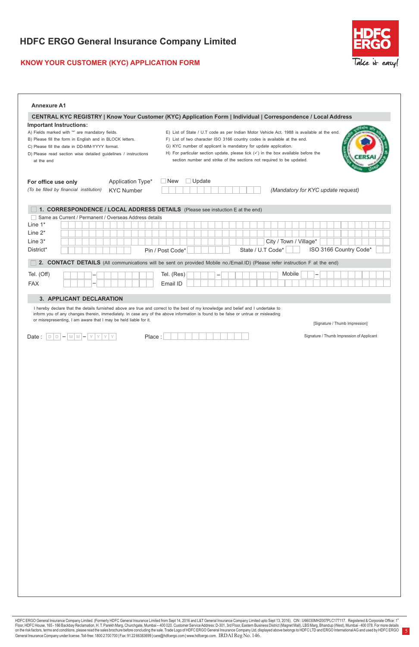## **KNOW YOUR CUSTOMER (KYC) APPLICATION FORM**



5

| <b>Annexure A1</b>                                                                                                                                                                                                                                                     |                                                                                                                                                                                                                                                                                                                                                                                                                    |
|------------------------------------------------------------------------------------------------------------------------------------------------------------------------------------------------------------------------------------------------------------------------|--------------------------------------------------------------------------------------------------------------------------------------------------------------------------------------------------------------------------------------------------------------------------------------------------------------------------------------------------------------------------------------------------------------------|
|                                                                                                                                                                                                                                                                        | CENTRAL KYC REGISTRY   Know Your Customer (KYC) Application Form   Individual   Correspondence / Local Address                                                                                                                                                                                                                                                                                                     |
| Important Instructions:<br>A) Fields marked with "" are mandatory fields.<br>B) Please fill the form in English and in BLOCK letters.<br>C) Please fill the date in DD-MM-YYYY format.<br>D) Please read section wise detailed guidelines / instructions<br>at the end | E) List of State / U.T code as per Indian Motor Vehicle Act. 1988 is available at the end.<br>F) List of two character ISO 3166 country codes is available at the end.<br>G) KYC number of applicant is mandatory for update application.<br>H) For particular section update, please tick $(\checkmark)$ in the box available before the<br>section number and strike of the sections not required to be updated. |
| Application Type*<br>For office use only<br>(To be filled by financial institution)<br><b>KYC Number</b>                                                                                                                                                               | $\Box$ Update<br>$\Box$ New<br>(Mandatory for KYC update request)                                                                                                                                                                                                                                                                                                                                                  |
| 1. CORRESPONDENCE / LOCAL ADDRESS DETAILS (Please see instuction E at the end)<br>Same as Current / Permanent / Overseas Address details<br>Line 1*<br>Line $2^*$<br>Line $3*$<br>District*                                                                            | City / Town / Village*<br>ISO 3166 Country Code*<br>State / U.T Code*<br>Pin / Post Code*                                                                                                                                                                                                                                                                                                                          |
|                                                                                                                                                                                                                                                                        | 2. CONTACT DETAILS (All communications will be sent on provided Mobile no./Email.ID) (Please refer instruction F at the end)                                                                                                                                                                                                                                                                                       |
| Tel. (Off)<br><b>FAX</b>                                                                                                                                                                                                                                               | Tel. (Res)<br>Mobile<br>Email ID                                                                                                                                                                                                                                                                                                                                                                                   |
| inform you of any changes therein, immediately. In case any of the above information is found to be false or untrue or misleading<br>or misrepresenting, I am aware that I may be held liable for it.<br>Date: $D D - M M - Y Y Y Y$<br>Place:                         | [Signature / Thumb Impression]<br>Signature / Thumb Impression of Applicant                                                                                                                                                                                                                                                                                                                                        |